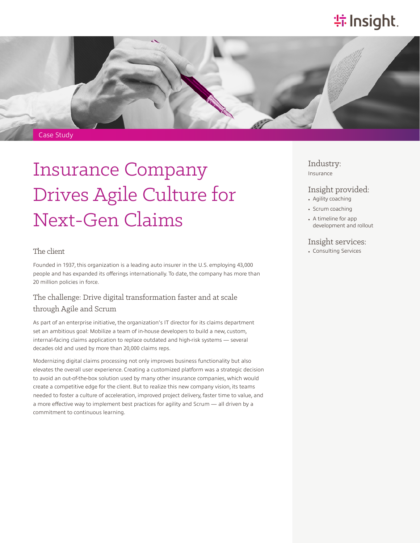# **特 Insight**.



# Insurance Company Drives Agile Culture for Next-Gen Claims

#### The client

Founded in 1937, this organization is a leading auto insurer in the U.S. employing 43,000 people and has expanded its offerings internationally. To date, the company has more than 20 million policies in force.

## The challenge: Drive digital transformation faster and at scale through Agile and Scrum

As part of an enterprise initiative, the organization's IT director for its claims department set an ambitious goal: Mobilize a team of in-house developers to build a new, custom, internal-facing claims application to replace outdated and high-risk systems — several decades old and used by more than 20,000 claims reps.

Modernizing digital claims processing not only improves business functionality but also elevates the overall user experience. Creating a customized platform was a strategic decision to avoid an out-of-the-box solution used by many other insurance companies, which would create a competitive edge for the client. But to realize this new company vision, its teams needed to foster a culture of acceleration, improved project delivery, faster time to value, and a more effective way to implement best practices for agility and Scrum — all driven by a commitment to continuous learning.

### Industry: Insurance

## Insight provided:

- Agility coaching
- Scrum coaching
- A timeline for app development and rollout

#### Insight services:

• Consulting Services